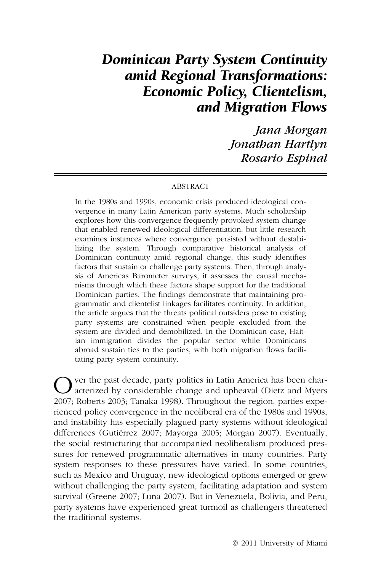# *Dominican Party System Continuity amid Regional Transformations: Economic Policy, Clientelism, and Migration Flows*

*Jana Morgan Jonathan Hartlyn Rosario Espinal*

#### ABSTRACT

In the 1980s and 1990s, economic crisis produced ideological convergence in many Latin American party systems. Much scholarship explores how this convergence frequently provoked system change that enabled renewed ideological differentiation, but little research examines instances where convergence persisted without destabilizing the system. Through comparative historical analysis of Dominican continuity amid regional change, this study identifies factors that sustain or challenge party systems. Then, through analysis of Americas Barometer surveys, it assesses the causal mechanisms through which these factors shape support for the traditional Dominican parties. The findings demonstrate that maintaining programmatic and clientelist linkages facilitates continuity. In addition, the article argues that the threats political outsiders pose to existing party systems are constrained when people excluded from the system are divided and demobilized. In the Dominican case, Haitian immigration divides the popular sector while Dominicans abroad sustain ties to the parties, with both migration flows facilitating party system continuity.

Over the past decade, party politics in Latin America has been char-<br>acterized by considerable change and upheaval (Dietz and Myers 2007; Roberts 2003; Tanaka 1998). Throughout the region, parties experienced policy convergence in the neoliberal era of the 1980s and 1990s, and instability has especially plagued party systems without ideological differences (Gutiérrez 2007; Mayorga 2005; Morgan 2007). Eventually, the social restructuring that accompanied neoliberalism produced pressures for renewed programmatic alternatives in many countries. Party system responses to these pressures have varied. In some countries, such as Mexico and Uruguay, new ideological options emerged or grew without challenging the party system, facilitating adaptation and system survival (Greene 2007; Luna 2007). But in Venezuela, Bolivia, and Peru, party systems have experienced great turmoil as challengers threatened the traditional systems.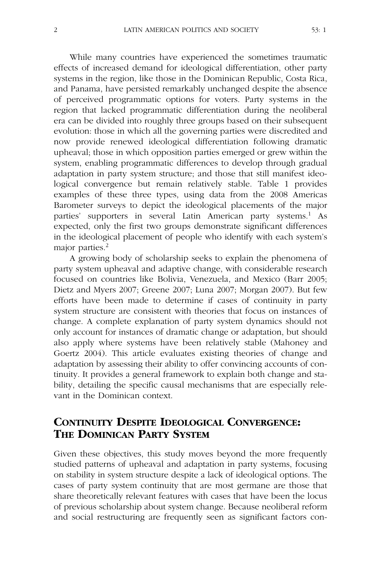While many countries have experienced the sometimes traumatic effects of increased demand for ideological differentiation, other party systems in the region, like those in the Dominican Republic, Costa Rica, and Panama, have persisted remarkably unchanged despite the absence of perceived programmatic options for voters. Party systems in the region that lacked programmatic differentiation during the neoliberal era can be divided into roughly three groups based on their subsequent evolution: those in which all the governing parties were discredited and now provide renewed ideological differentiation following dramatic upheaval; those in which opposition parties emerged or grew within the system, enabling programmatic differences to develop through gradual adaptation in party system structure; and those that still manifest ideological convergence but remain relatively stable. Table 1 provides examples of these three types, using data from the 2008 Americas Barometer surveys to depict the ideological placements of the major parties' supporters in several Latin American party systems.<sup>1</sup> As expected, only the first two groups demonstrate significant differences in the ideological placement of people who identify with each system's major parties.<sup>2</sup>

A growing body of scholarship seeks to explain the phenomena of party system upheaval and adaptive change, with considerable research focused on countries like Bolivia, Venezuela, and Mexico (Barr 2005; Dietz and Myers 2007; Greene 2007; Luna 2007; Morgan 2007). But few efforts have been made to determine if cases of continuity in party system structure are consistent with theories that focus on instances of change. A complete explanation of party system dynamics should not only account for instances of dramatic change or adaptation, but should also apply where systems have been relatively stable (Mahoney and Goertz 2004). This article evaluates existing theories of change and adaptation by assessing their ability to offer convincing accounts of continuity. It provides a general framework to explain both change and stability, detailing the specific causal mechanisms that are especially relevant in the Dominican context.

# **CONTINUITY DESPITE IDEOLOGICAL CONVERGENCE: THE DOMINICAN PARTY SYSTEM**

Given these objectives, this study moves beyond the more frequently studied patterns of upheaval and adaptation in party systems, focusing on stability in system structure despite a lack of ideological options. The cases of party system continuity that are most germane are those that share theoretically relevant features with cases that have been the locus of previous scholarship about system change. Because neoliberal reform and social restructuring are frequently seen as significant factors con-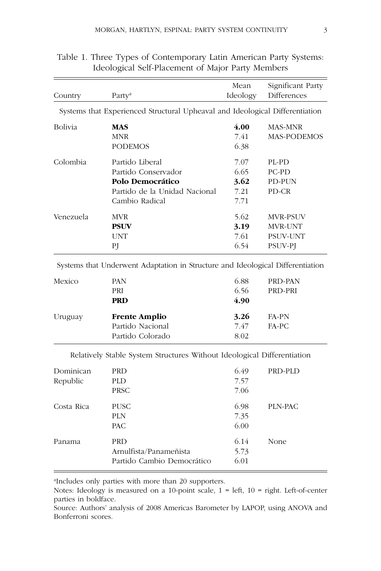| Country        | Party <sup>a</sup>                                                           | Mean<br>Ideology | Significant Party<br><b>Differences</b> |
|----------------|------------------------------------------------------------------------------|------------------|-----------------------------------------|
|                | Systems that Experienced Structural Upheaval and Ideological Differentiation |                  |                                         |
| <b>Bolivia</b> | <b>MAS</b>                                                                   | 4.00             | <b>MAS-MNR</b>                          |
|                | <b>MNR</b>                                                                   | 7.41             | MAS-PODEMOS                             |
|                | <b>PODEMOS</b>                                                               | 6.38             |                                         |
| Colombia       | Partido Liberal                                                              | 7.07             | PL-PD                                   |
|                | Partido Conservador                                                          | 6.65             | PC-PD                                   |
|                | Polo Democrático                                                             | 3.62             | PD-PUN                                  |
|                | Partido de la Unidad Nacional                                                | 7.21             | PD-CR                                   |
|                | Cambio Radical                                                               | 7.71             |                                         |
| Venezuela      | MVR.                                                                         | 5.62             | <b>MVR-PSUV</b>                         |
|                | <b>PSUV</b>                                                                  | 3.19             | <b>MVR-UNT</b>                          |
|                | UNT                                                                          | 7.61             | PSUV-UNT                                |
|                | РJ                                                                           | 6.54             | <b>PSUV-PI</b>                          |

Table 1. Three Types of Contemporary Latin American Party Systems: Ideological Self-Placement of Major Party Members

Systems that Underwent Adaptation in Structure and Ideological Differentiation

| Mexico  | PAN<br>PRI<br><b>PRD</b>                                     | 6.88<br>6.56<br>4.90 | PRD-PAN<br>PRD-PRI    |
|---------|--------------------------------------------------------------|----------------------|-----------------------|
| Uruguay | <b>Frente Amplio</b><br>Partido Nacional<br>Partido Colorado | 3.26<br>747<br>8.02  | <b>FA-PN</b><br>FA-PC |

Relatively Stable System Structures Without Ideological Differentiation

| Dominican<br>Republic | <b>PRD</b><br>PLD<br>PRSC                                          | 6.49<br>7.57<br>7.06 | PRD-PLD |
|-----------------------|--------------------------------------------------------------------|----------------------|---------|
| Costa Rica            | <b>PUSC</b><br>PLN<br>PAC.                                         | 6.98<br>7.35<br>6.00 | PLN-PAC |
| Panama                | <b>PRD</b><br>Arnulfista/Panameñista<br>Partido Cambio Democrático | 6.14<br>5.73<br>6.01 | None    |

a Includes only parties with more than 20 supporters.

Notes: Ideology is measured on a 10-point scale,  $1 = left$ ,  $10 = right$ . Left-of-center parties in boldface.

Source: Authors' analysis of 2008 Americas Barometer by LAPOP, using ANOVA and Bonferroni scores.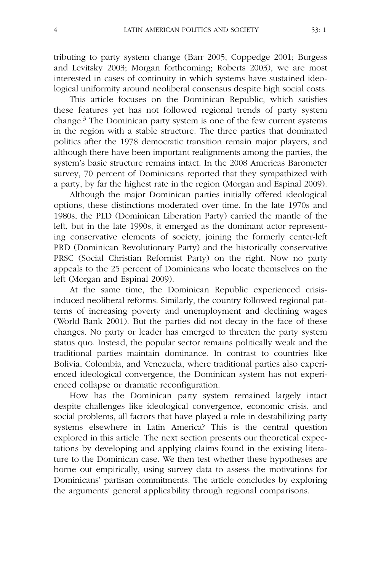tributing to party system change (Barr 2005; Coppedge 2001; Burgess and Levitsky 2003; Morgan forthcoming; Roberts 2003), we are most interested in cases of continuity in which systems have sustained ideological uniformity around neoliberal consensus despite high social costs.

This article focuses on the Dominican Republic, which satisfies these features yet has not followed regional trends of party system change.3 The Dominican party system is one of the few current systems in the region with a stable structure. The three parties that dominated politics after the 1978 democratic transition remain major players, and although there have been important realignments among the parties, the system's basic structure remains intact. In the 2008 Americas Barometer survey, 70 percent of Dominicans reported that they sympathized with a party, by far the highest rate in the region (Morgan and Espinal 2009).

Although the major Dominican parties initially offered ideological options, these distinctions moderated over time. In the late 1970s and 1980s, the PLD (Dominican Liberation Party) carried the mantle of the left, but in the late 1990s, it emerged as the dominant actor representing conservative elements of society, joining the formerly center-left PRD (Dominican Revolutionary Party) and the historically conservative PRSC (Social Christian Reformist Party) on the right. Now no party appeals to the 25 percent of Dominicans who locate themselves on the left (Morgan and Espinal 2009).

At the same time, the Dominican Republic experienced crisisinduced neoliberal reforms. Similarly, the country followed regional patterns of increasing poverty and unemployment and declining wages (World Bank 2001). But the parties did not decay in the face of these changes. No party or leader has emerged to threaten the party system status quo. Instead, the popular sector remains politically weak and the traditional parties maintain dominance. In contrast to countries like Bolivia, Colombia, and Venezuela, where traditional parties also experienced ideological convergence, the Dominican system has not experienced collapse or dramatic reconfiguration.

How has the Dominican party system remained largely intact despite challenges like ideological convergence, economic crisis, and social problems, all factors that have played a role in destabilizing party systems elsewhere in Latin America? This is the central question explored in this article. The next section presents our theoretical expectations by developing and applying claims found in the existing literature to the Dominican case. We then test whether these hypotheses are borne out empirically, using survey data to assess the motivations for Dominicans' partisan commitments. The article concludes by exploring the arguments' general applicability through regional comparisons.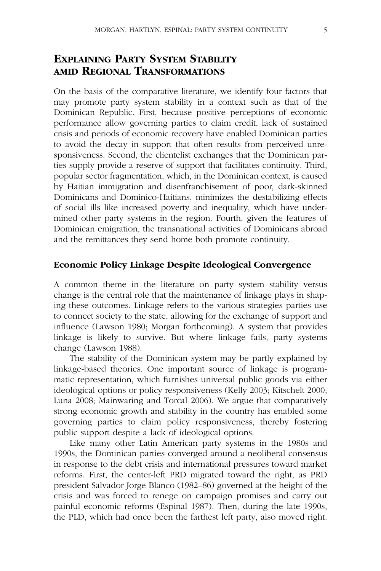# **EXPLAINING PARTY SYSTEM STABILITY AMID REGIONAL TRANSFORMATIONS**

On the basis of the comparative literature, we identify four factors that may promote party system stability in a context such as that of the Dominican Republic. First, because positive perceptions of economic performance allow governing parties to claim credit, lack of sustained crisis and periods of economic recovery have enabled Dominican parties to avoid the decay in support that often results from perceived unresponsiveness. Second, the clientelist exchanges that the Dominican parties supply provide a reserve of support that facilitates continuity. Third, popular sector fragmentation, which, in the Dominican context, is caused by Haitian immigration and disenfranchisement of poor, dark-skinned Dominicans and Dominico-Haitians, minimizes the destabilizing effects of social ills like increased poverty and inequality, which have undermined other party systems in the region. Fourth, given the features of Dominican emigration, the transnational activities of Dominicans abroad and the remittances they send home both promote continuity.

#### **Economic Policy Linkage Despite Ideological Convergence**

A common theme in the literature on party system stability versus change is the central role that the maintenance of linkage plays in shaping these outcomes. Linkage refers to the various strategies parties use to connect society to the state, allowing for the exchange of support and influence (Lawson 1980; Morgan forthcoming). A system that provides linkage is likely to survive. But where linkage fails, party systems change (Lawson 1988).

The stability of the Dominican system may be partly explained by linkage-based theories. One important source of linkage is programmatic representation, which furnishes universal public goods via either ideological options or policy responsiveness (Kelly 2003; Kitschelt 2000; Luna 2008; Mainwaring and Torcal 2006). We argue that comparatively strong economic growth and stability in the country has enabled some governing parties to claim policy responsiveness, thereby fostering public support despite a lack of ideological options.

Like many other Latin American party systems in the 1980s and 1990s, the Dominican parties converged around a neoliberal consensus in response to the debt crisis and international pressures toward market reforms. First, the center-left PRD migrated toward the right, as PRD president Salvador Jorge Blanco (1982–86) governed at the height of the crisis and was forced to renege on campaign promises and carry out painful economic reforms (Espinal 1987). Then, during the late 1990s, the PLD, which had once been the farthest left party, also moved right.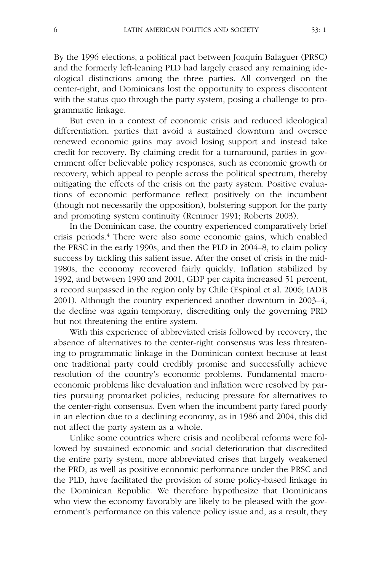By the 1996 elections, a political pact between Joaquín Balaguer (PRSC) and the formerly left-leaning PLD had largely erased any remaining ideological distinctions among the three parties. All converged on the center-right, and Dominicans lost the opportunity to express discontent with the status quo through the party system, posing a challenge to programmatic linkage.

But even in a context of economic crisis and reduced ideological differentiation, parties that avoid a sustained downturn and oversee renewed economic gains may avoid losing support and instead take credit for recovery. By claiming credit for a turnaround, parties in government offer believable policy responses, such as economic growth or recovery, which appeal to people across the political spectrum, thereby mitigating the effects of the crisis on the party system. Positive evaluations of economic performance reflect positively on the incumbent (though not necessarily the opposition), bolstering support for the party and promoting system continuity (Remmer 1991; Roberts 2003).

In the Dominican case, the country experienced comparatively brief crisis periods.4 There were also some economic gains, which enabled the PRSC in the early 1990s, and then the PLD in 2004–8, to claim policy success by tackling this salient issue. After the onset of crisis in the mid-1980s, the economy recovered fairly quickly. Inflation stabilized by 1992, and between 1990 and 2001, GDP per capita increased 51 percent, a record surpassed in the region only by Chile (Espinal et al. 2006; IADB 2001). Although the country experienced another downturn in 2003–4, the decline was again temporary, discrediting only the governing PRD but not threatening the entire system.

With this experience of abbreviated crisis followed by recovery, the absence of alternatives to the center-right consensus was less threatening to programmatic linkage in the Dominican context because at least one traditional party could credibly promise and successfully achieve resolution of the country's economic problems. Fundamental macroeconomic problems like devaluation and inflation were resolved by parties pursuing promarket policies, reducing pressure for alternatives to the center-right consensus. Even when the incumbent party fared poorly in an election due to a declining economy, as in 1986 and 2004, this did not affect the party system as a whole.

Unlike some countries where crisis and neoliberal reforms were followed by sustained economic and social deterioration that discredited the entire party system, more abbreviated crises that largely weakened the PRD, as well as positive economic performance under the PRSC and the PLD, have facilitated the provision of some policy-based linkage in the Dominican Republic. We therefore hypothesize that Dominicans who view the economy favorably are likely to be pleased with the government's performance on this valence policy issue and, as a result, they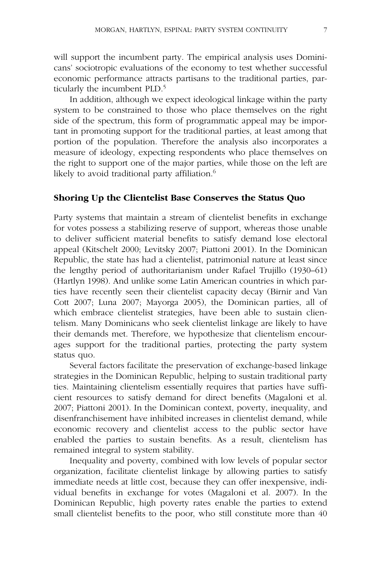will support the incumbent party. The empirical analysis uses Dominicans' sociotropic evaluations of the economy to test whether successful economic performance attracts partisans to the traditional parties, particularly the incumbent PLD.5

In addition, although we expect ideological linkage within the party system to be constrained to those who place themselves on the right side of the spectrum, this form of programmatic appeal may be important in promoting support for the traditional parties, at least among that portion of the population. Therefore the analysis also incorporates a measure of ideology, expecting respondents who place themselves on the right to support one of the major parties, while those on the left are likely to avoid traditional party affiliation.<sup>6</sup>

#### **Shoring Up the Clientelist Base Conserves the Status Quo**

Party systems that maintain a stream of clientelist benefits in exchange for votes possess a stabilizing reserve of support, whereas those unable to deliver sufficient material benefits to satisfy demand lose electoral appeal (Kitschelt 2000; Levitsky 2007; Piattoni 2001). In the Dominican Republic, the state has had a clientelist, patrimonial nature at least since the lengthy period of authoritarianism under Rafael Trujillo (1930–61) (Hartlyn 1998). And unlike some Latin American countries in which parties have recently seen their clientelist capacity decay (Birnir and Van Cott 2007; Luna 2007; Mayorga 2005), the Dominican parties, all of which embrace clientelist strategies, have been able to sustain clientelism. Many Dominicans who seek clientelist linkage are likely to have their demands met. Therefore, we hypothesize that clientelism encourages support for the traditional parties, protecting the party system status quo.

Several factors facilitate the preservation of exchange-based linkage strategies in the Dominican Republic, helping to sustain traditional party ties. Maintaining clientelism essentially requires that parties have sufficient resources to satisfy demand for direct benefits (Magaloni et al. 2007; Piattoni 2001). In the Dominican context, poverty, inequality, and disenfranchisement have inhibited increases in clientelist demand, while economic recovery and clientelist access to the public sector have enabled the parties to sustain benefits. As a result, clientelism has remained integral to system stability.

Inequality and poverty, combined with low levels of popular sector organization, facilitate clientelist linkage by allowing parties to satisfy immediate needs at little cost, because they can offer inexpensive, individual benefits in exchange for votes (Magaloni et al. 2007). In the Dominican Republic, high poverty rates enable the parties to extend small clientelist benefits to the poor, who still constitute more than 40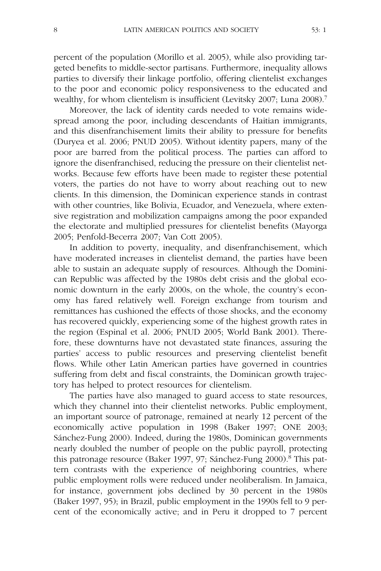percent of the population (Morillo et al. 2005), while also providing targeted benefits to middle-sector partisans. Furthermore, inequality allows parties to diversify their linkage portfolio, offering clientelist exchanges to the poor and economic policy responsiveness to the educated and wealthy, for whom clientelism is insufficient (Levitsky 2007; Luna 2008).7

Moreover, the lack of identity cards needed to vote remains widespread among the poor, including descendants of Haitian immigrants, and this disenfranchisement limits their ability to pressure for benefits (Duryea et al. 2006; PNUD 2005). Without identity papers, many of the poor are barred from the political process. The parties can afford to ignore the disenfranchised, reducing the pressure on their clientelist networks. Because few efforts have been made to register these potential voters, the parties do not have to worry about reaching out to new clients. In this dimension, the Dominican experience stands in contrast with other countries, like Bolivia, Ecuador, and Venezuela, where extensive registration and mobilization campaigns among the poor expanded the electorate and multiplied pressures for clientelist benefits (Mayorga 2005; Penfold-Becerra 2007; Van Cott 2005).

In addition to poverty, inequality, and disenfranchisement, which have moderated increases in clientelist demand, the parties have been able to sustain an adequate supply of resources. Although the Dominican Republic was affected by the 1980s debt crisis and the global economic downturn in the early 2000s, on the whole, the country's economy has fared relatively well. Foreign exchange from tourism and remittances has cushioned the effects of those shocks, and the economy has recovered quickly, experiencing some of the highest growth rates in the region (Espinal et al. 2006; PNUD 2005; World Bank 2001). Therefore, these downturns have not devastated state finances, assuring the parties' access to public resources and preserving clientelist benefit flows. While other Latin American parties have governed in countries suffering from debt and fiscal constraints, the Dominican growth trajectory has helped to protect resources for clientelism.

The parties have also managed to guard access to state resources, which they channel into their clientelist networks. Public employment, an important source of patronage, remained at nearly 12 percent of the economically active population in 1998 (Baker 1997; ONE 2003; Sánchez-Fung 2000). Indeed, during the 1980s, Dominican governments nearly doubled the number of people on the public payroll, protecting this patronage resource (Baker 1997, 97; Sánchez-Fung 2000).8 This pattern contrasts with the experience of neighboring countries, where public employment rolls were reduced under neoliberalism. In Jamaica, for instance, government jobs declined by 30 percent in the 1980s (Baker 1997, 95); in Brazil, public employment in the 1990s fell to 9 percent of the economically active; and in Peru it dropped to 7 percent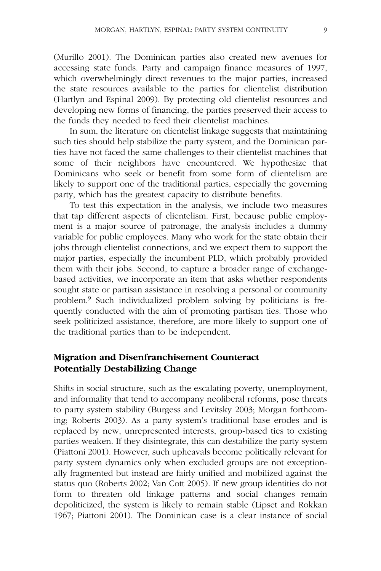(Murillo 2001). The Dominican parties also created new avenues for accessing state funds. Party and campaign finance measures of 1997, which overwhelmingly direct revenues to the major parties, increased the state resources available to the parties for clientelist distribution (Hartlyn and Espinal 2009). By protecting old clientelist resources and developing new forms of financing, the parties preserved their access to the funds they needed to feed their clientelist machines.

In sum, the literature on clientelist linkage suggests that maintaining such ties should help stabilize the party system, and the Dominican parties have not faced the same challenges to their clientelist machines that some of their neighbors have encountered. We hypothesize that Dominicans who seek or benefit from some form of clientelism are likely to support one of the traditional parties, especially the governing party, which has the greatest capacity to distribute benefits.

To test this expectation in the analysis, we include two measures that tap different aspects of clientelism. First, because public employment is a major source of patronage, the analysis includes a dummy variable for public employees. Many who work for the state obtain their jobs through clientelist connections, and we expect them to support the major parties, especially the incumbent PLD, which probably provided them with their jobs. Second, to capture a broader range of exchangebased activities, we incorporate an item that asks whether respondents sought state or partisan assistance in resolving a personal or community problem.9 Such individualized problem solving by politicians is frequently conducted with the aim of promoting partisan ties. Those who seek politicized assistance, therefore, are more likely to support one of the traditional parties than to be independent.

# **Migration and Disenfranchisement Counteract Potentially Destabilizing Change**

Shifts in social structure, such as the escalating poverty, unemployment, and informality that tend to accompany neoliberal reforms, pose threats to party system stability (Burgess and Levitsky 2003; Morgan forthcoming; Roberts 2003). As a party system's traditional base erodes and is replaced by new, unrepresented interests, group-based ties to existing parties weaken. If they disintegrate, this can destabilize the party system (Piattoni 2001). However, such upheavals become politically relevant for party system dynamics only when excluded groups are not exceptionally fragmented but instead are fairly unified and mobilized against the status quo (Roberts 2002; Van Cott 2005). If new group identities do not form to threaten old linkage patterns and social changes remain depoliticized, the system is likely to remain stable (Lipset and Rokkan 1967; Piattoni 2001). The Dominican case is a clear instance of social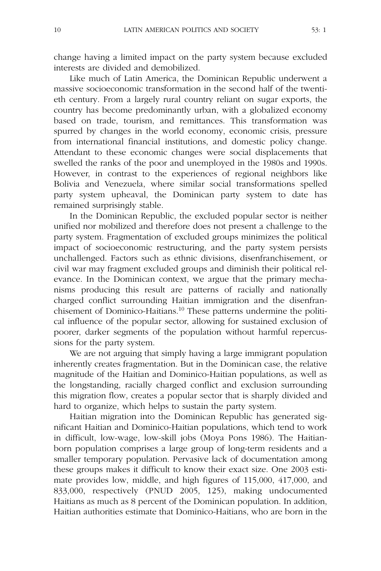change having a limited impact on the party system because excluded interests are divided and demobilized.

Like much of Latin America, the Dominican Republic underwent a massive socioeconomic transformation in the second half of the twentieth century. From a largely rural country reliant on sugar exports, the country has become predominantly urban, with a globalized economy based on trade, tourism, and remittances. This transformation was spurred by changes in the world economy, economic crisis, pressure from international financial institutions, and domestic policy change. Attendant to these economic changes were social displacements that swelled the ranks of the poor and unemployed in the 1980s and 1990s. However, in contrast to the experiences of regional neighbors like Bolivia and Venezuela, where similar social transformations spelled party system upheaval, the Dominican party system to date has remained surprisingly stable.

In the Dominican Republic, the excluded popular sector is neither unified nor mobilized and therefore does not present a challenge to the party system. Fragmentation of excluded groups minimizes the political impact of socioeconomic restructuring, and the party system persists unchallenged. Factors such as ethnic divisions, disenfranchisement, or civil war may fragment excluded groups and diminish their political relevance. In the Dominican context, we argue that the primary mechanisms producing this result are patterns of racially and nationally charged conflict surrounding Haitian immigration and the disenfranchisement of Dominico-Haitians.10 These patterns undermine the political influence of the popular sector, allowing for sustained exclusion of poorer, darker segments of the population without harmful repercussions for the party system.

We are not arguing that simply having a large immigrant population inherently creates fragmentation. But in the Dominican case, the relative magnitude of the Haitian and Dominico-Haitian populations, as well as the longstanding, racially charged conflict and exclusion surrounding this migration flow, creates a popular sector that is sharply divided and hard to organize, which helps to sustain the party system.

Haitian migration into the Dominican Republic has generated significant Haitian and Dominico-Haitian populations, which tend to work in difficult, low-wage, low-skill jobs (Moya Pons 1986). The Haitianborn population comprises a large group of long-term residents and a smaller temporary population. Pervasive lack of documentation among these groups makes it difficult to know their exact size. One 2003 estimate provides low, middle, and high figures of 115,000, 417,000, and 833,000, respectively (PNUD 2005, 125), making undocumented Haitians as much as 8 percent of the Dominican population. In addition, Haitian authorities estimate that Dominico-Haitians, who are born in the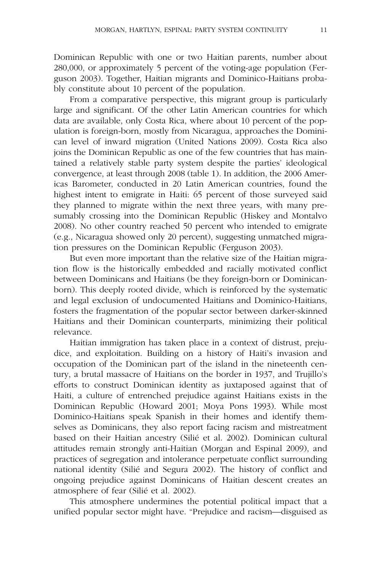Dominican Republic with one or two Haitian parents, number about 280,000, or approximately 5 percent of the voting-age population (Ferguson 2003). Together, Haitian migrants and Dominico-Haitians probably constitute about 10 percent of the population.

From a comparative perspective, this migrant group is particularly large and significant. Of the other Latin American countries for which data are available, only Costa Rica, where about 10 percent of the population is foreign-born, mostly from Nicaragua, approaches the Dominican level of inward migration (United Nations 2009). Costa Rica also joins the Dominican Republic as one of the few countries that has maintained a relatively stable party system despite the parties' ideological convergence, at least through 2008 (table 1). In addition, the 2006 Americas Barometer, conducted in 20 Latin American countries, found the highest intent to emigrate in Haiti: 65 percent of those surveyed said they planned to migrate within the next three years, with many presumably crossing into the Dominican Republic (Hiskey and Montalvo 2008). No other country reached 50 percent who intended to emigrate (e.g., Nicaragua showed only 20 percent), suggesting unmatched migration pressures on the Dominican Republic (Ferguson 2003).

But even more important than the relative size of the Haitian migration flow is the historically embedded and racially motivated conflict between Dominicans and Haitians (be they foreign-born or Dominicanborn). This deeply rooted divide, which is reinforced by the systematic and legal exclusion of undocumented Haitians and Dominico-Haitians, fosters the fragmentation of the popular sector between darker-skinned Haitians and their Dominican counterparts, minimizing their political relevance.

Haitian immigration has taken place in a context of distrust, prejudice, and exploitation. Building on a history of Haiti's invasion and occupation of the Dominican part of the island in the nineteenth century, a brutal massacre of Haitians on the border in 1937, and Trujillo's efforts to construct Dominican identity as juxtaposed against that of Haiti, a culture of entrenched prejudice against Haitians exists in the Dominican Republic (Howard 2001; Moya Pons 1993). While most Dominico-Haitians speak Spanish in their homes and identify themselves as Dominicans, they also report facing racism and mistreatment based on their Haitian ancestry (Silié et al. 2002). Dominican cultural attitudes remain strongly anti-Haitian (Morgan and Espinal 2009), and practices of segregation and intolerance perpetuate conflict surrounding national identity (Silié and Segura 2002). The history of conflict and ongoing prejudice against Dominicans of Haitian descent creates an atmosphere of fear (Silié et al. 2002).

This atmosphere undermines the potential political impact that a unified popular sector might have. "Prejudice and racism—disguised as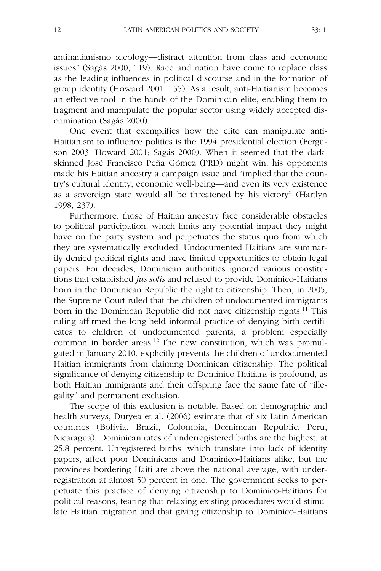antihaitianismo ideology—distract attention from class and economic issues" (Sagás 2000, 119). Race and nation have come to replace class as the leading influences in political discourse and in the formation of group identity (Howard 2001, 155). As a result, anti-Haitianism becomes an effective tool in the hands of the Dominican elite, enabling them to fragment and manipulate the popular sector using widely accepted discrimination (Sagás 2000).

One event that exemplifies how the elite can manipulate anti-Haitianism to influence politics is the 1994 presidential election (Ferguson 2003; Howard 2001; Sagás 2000). When it seemed that the darkskinned José Francisco Peña Gómez (PRD) might win, his opponents made his Haitian ancestry a campaign issue and "implied that the country's cultural identity, economic well-being—and even its very existence as a sovereign state would all be threatened by his victory" (Hartlyn 1998, 237).

Furthermore, those of Haitian ancestry face considerable obstacles to political participation, which limits any potential impact they might have on the party system and perpetuates the status quo from which they are systematically excluded. Undocumented Haitians are summarily denied political rights and have limited opportunities to obtain legal papers. For decades, Dominican authorities ignored various constitutions that established *jus solis* and refused to provide Dominico-Haitians born in the Dominican Republic the right to citizenship. Then, in 2005, the Supreme Court ruled that the children of undocumented immigrants born in the Dominican Republic did not have citizenship rights.11 This ruling affirmed the long-held informal practice of denying birth certificates to children of undocumented parents, a problem especially common in border areas.12 The new constitution, which was promulgated in January 2010, explicitly prevents the children of undocumented Haitian immigrants from claiming Dominican citizenship. The political significance of denying citizenship to Dominico-Haitians is profound, as both Haitian immigrants and their offspring face the same fate of "illegality" and permanent exclusion.

The scope of this exclusion is notable. Based on demographic and health surveys, Duryea et al. (2006) estimate that of six Latin American countries (Bolivia, Brazil, Colombia, Dominican Republic, Peru, Nicaragua), Dominican rates of underregistered births are the highest, at 25.8 percent. Unregistered births, which translate into lack of identity papers, affect poor Dominicans and Dominico-Haitians alike, but the provinces bordering Haiti are above the national average, with underregistration at almost 50 percent in one. The government seeks to perpetuate this practice of denying citizenship to Dominico-Haitians for political reasons, fearing that relaxing existing procedures would stimulate Haitian migration and that giving citizenship to Dominico-Haitians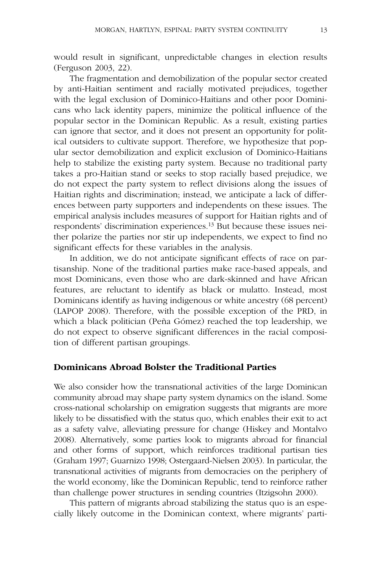would result in significant, unpredictable changes in election results (Ferguson 2003, 22).

The fragmentation and demobilization of the popular sector created by anti-Haitian sentiment and racially motivated prejudices, together with the legal exclusion of Dominico-Haitians and other poor Dominicans who lack identity papers, minimize the political influence of the popular sector in the Dominican Republic. As a result, existing parties can ignore that sector, and it does not present an opportunity for political outsiders to cultivate support. Therefore, we hypothesize that popular sector demobilization and explicit exclusion of Dominico-Haitians help to stabilize the existing party system. Because no traditional party takes a pro-Haitian stand or seeks to stop racially based prejudice, we do not expect the party system to reflect divisions along the issues of Haitian rights and discrimination; instead, we anticipate a lack of differences between party supporters and independents on these issues. The empirical analysis includes measures of support for Haitian rights and of respondents' discrimination experiences.13 But because these issues neither polarize the parties nor stir up independents, we expect to find no significant effects for these variables in the analysis.

In addition, we do not anticipate significant effects of race on partisanship. None of the traditional parties make race-based appeals, and most Dominicans, even those who are dark-skinned and have African features, are reluctant to identify as black or mulatto. Instead, most Dominicans identify as having indigenous or white ancestry (68 percent) (LAPOP 2008). Therefore, with the possible exception of the PRD, in which a black politician (Peña Gómez) reached the top leadership, we do not expect to observe significant differences in the racial composition of different partisan groupings.

#### **Dominicans Abroad Bolster the Traditional Parties**

We also consider how the transnational activities of the large Dominican community abroad may shape party system dynamics on the island. Some cross-national scholarship on emigration suggests that migrants are more likely to be dissatisfied with the status quo, which enables their exit to act as a safety valve, alleviating pressure for change (Hiskey and Montalvo 2008). Alternatively, some parties look to migrants abroad for financial and other forms of support, which reinforces traditional partisan ties (Graham 1997; Guarnizo 1998; Ostergaard-Nielsen 2003). In particular, the transnational activities of migrants from democracies on the periphery of the world economy, like the Dominican Republic, tend to reinforce rather than challenge power structures in sending countries (Itzigsohn 2000).

This pattern of migrants abroad stabilizing the status quo is an especially likely outcome in the Dominican context, where migrants' parti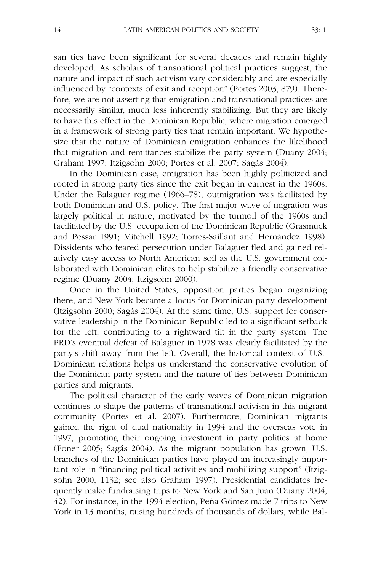san ties have been significant for several decades and remain highly developed. As scholars of transnational political practices suggest, the nature and impact of such activism vary considerably and are especially influenced by "contexts of exit and reception" (Portes 2003, 879). Therefore, we are not asserting that emigration and transnational practices are necessarily similar, much less inherently stabilizing. But they are likely to have this effect in the Dominican Republic, where migration emerged in a framework of strong party ties that remain important. We hypothesize that the nature of Dominican emigration enhances the likelihood that migration and remittances stabilize the party system (Duany 2004; Graham 1997; Itzigsohn 2000; Portes et al. 2007; Sagás 2004).

In the Dominican case, emigration has been highly politicized and rooted in strong party ties since the exit began in earnest in the 1960s. Under the Balaguer regime (1966–78), outmigration was facilitated by both Dominican and U.S. policy. The first major wave of migration was largely political in nature, motivated by the turmoil of the 1960s and facilitated by the U.S. occupation of the Dominican Republic (Grasmuck and Pessar 1991; Mitchell 1992; Torres-Saillant and Hernández 1998). Dissidents who feared persecution under Balaguer fled and gained relatively easy access to North American soil as the U.S. government collaborated with Dominican elites to help stabilize a friendly conservative regime (Duany 2004; Itzigsohn 2000).

Once in the United States, opposition parties began organizing there, and New York became a locus for Dominican party development (Itzigsohn 2000; Sagás 2004). At the same time, U.S. support for conservative leadership in the Dominican Republic led to a significant setback for the left, contributing to a rightward tilt in the party system. The PRD's eventual defeat of Balaguer in 1978 was clearly facilitated by the party's shift away from the left. Overall, the historical context of U.S.- Dominican relations helps us understand the conservative evolution of the Dominican party system and the nature of ties between Dominican parties and migrants.

The political character of the early waves of Dominican migration continues to shape the patterns of transnational activism in this migrant community (Portes et al. 2007). Furthermore, Dominican migrants gained the right of dual nationality in 1994 and the overseas vote in 1997, promoting their ongoing investment in party politics at home (Foner 2005; Sagás 2004). As the migrant population has grown, U.S. branches of the Dominican parties have played an increasingly important role in "financing political activities and mobilizing support" (Itzigsohn 2000, 1132; see also Graham 1997). Presidential candidates frequently make fundraising trips to New York and San Juan (Duany 2004, 42). For instance, in the 1994 election, Peña Gómez made 7 trips to New York in 13 months, raising hundreds of thousands of dollars, while Bal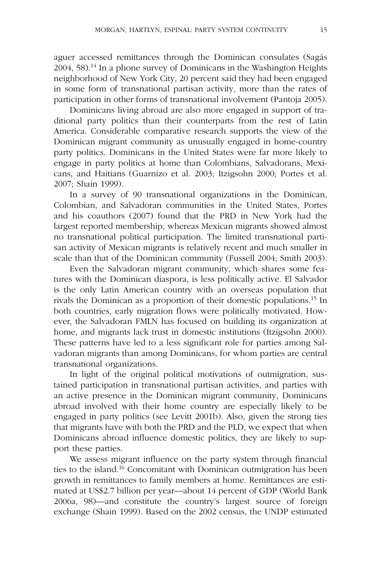aguer accessed remittances through the Dominican consulates (Sagás 2004, 58).14 In a phone survey of Dominicans in the Washington Heights neighborhood of New York City, 20 percent said they had been engaged in some form of transnational partisan activity, more than the rates of participation in other forms of transnational involvement (Pantoja 2005).

Dominicans living abroad are also more engaged in support of traditional party politics than their counterparts from the rest of Latin America. Considerable comparative research supports the view of the Dominican migrant community as unusually engaged in home-country party politics. Dominicans in the United States were far more likely to engage in party politics at home than Colombians, Salvadorans, Mexicans, and Haitians (Guarnizo et al. 2003; Itzigsohn 2000; Portes et al. 2007; Shain 1999).

In a survey of 90 transnational organizations in the Dominican, Colombian, and Salvadoran communities in the United States, Portes and his coauthors (2007) found that the PRD in New York had the largest reported membership, whereas Mexican migrants showed almost no transnational political participation. The limited transnational partisan activity of Mexican migrants is relatively recent and much smaller in scale than that of the Dominican community (Fussell 2004; Smith 2003).

Even the Salvadoran migrant community, which shares some features with the Dominican diaspora, is less politically active. El Salvador is the only Latin American country with an overseas population that rivals the Dominican as a proportion of their domestic populations.15 In both countries, early migration flows were politically motivated. However, the Salvadoran FMLN has focused on building its organization at home, and migrants lack trust in domestic institutions (Itzigsohn 2000). These patterns have led to a less significant role for parties among Salvadoran migrants than among Dominicans, for whom parties are central transnational organizations.

In light of the original political motivations of outmigration, sustained participation in transnational partisan activities, and parties with an active presence in the Dominican migrant community, Dominicans abroad involved with their home country are especially likely to be engaged in party politics (see Levitt 2001b). Also, given the strong ties that migrants have with both the PRD and the PLD, we expect that when Dominicans abroad influence domestic politics, they are likely to support these parties.

We assess migrant influence on the party system through financial ties to the island.16 Concomitant with Dominican outmigration has been growth in remittances to family members at home. Remittances are estimated at US\$2.7 billion per year—about 14 percent of GDP (World Bank 2006a, 98)—and constitute the country's largest source of foreign exchange (Shain 1999). Based on the 2002 census, the UNDP estimated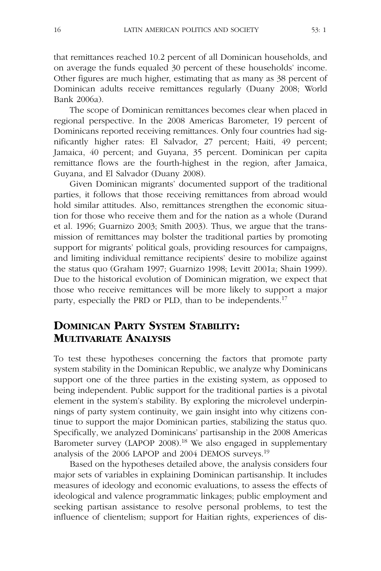that remittances reached 10.2 percent of all Dominican households, and on average the funds equaled 30 percent of these households' income. Other figures are much higher, estimating that as many as 38 percent of Dominican adults receive remittances regularly (Duany 2008; World Bank 2006a).

The scope of Dominican remittances becomes clear when placed in regional perspective. In the 2008 Americas Barometer, 19 percent of Dominicans reported receiving remittances. Only four countries had significantly higher rates: El Salvador, 27 percent; Haiti, 49 percent; Jamaica, 40 percent; and Guyana, 35 percent. Dominican per capita remittance flows are the fourth-highest in the region, after Jamaica, Guyana, and El Salvador (Duany 2008).

Given Dominican migrants' documented support of the traditional parties, it follows that those receiving remittances from abroad would hold similar attitudes. Also, remittances strengthen the economic situation for those who receive them and for the nation as a whole (Durand et al. 1996; Guarnizo 2003; Smith 2003). Thus, we argue that the transmission of remittances may bolster the traditional parties by promoting support for migrants' political goals, providing resources for campaigns, and limiting individual remittance recipients' desire to mobilize against the status quo (Graham 1997; Guarnizo 1998; Levitt 2001a; Shain 1999). Due to the historical evolution of Dominican migration, we expect that those who receive remittances will be more likely to support a major party, especially the PRD or PLD, than to be independents.17

# **DOMINICAN PARTY SYSTEM STABILITY: MULTIVARIATE ANALYSIS**

To test these hypotheses concerning the factors that promote party system stability in the Dominican Republic, we analyze why Dominicans support one of the three parties in the existing system, as opposed to being independent. Public support for the traditional parties is a pivotal element in the system's stability. By exploring the microlevel underpinnings of party system continuity, we gain insight into why citizens continue to support the major Dominican parties, stabilizing the status quo. Specifically, we analyzed Dominicans' partisanship in the 2008 Americas Barometer survey (LAPOP 2008).18 We also engaged in supplementary analysis of the 2006 LAPOP and 2004 DEMOS surveys.19

Based on the hypotheses detailed above, the analysis considers four major sets of variables in explaining Dominican partisanship. It includes measures of ideology and economic evaluations, to assess the effects of ideological and valence programmatic linkages; public employment and seeking partisan assistance to resolve personal problems, to test the influence of clientelism; support for Haitian rights, experiences of dis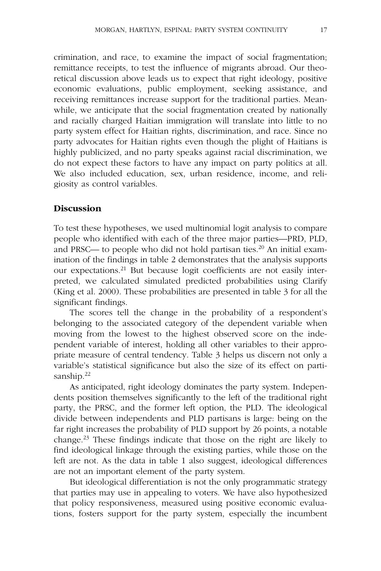crimination, and race, to examine the impact of social fragmentation; remittance receipts, to test the influence of migrants abroad. Our theoretical discussion above leads us to expect that right ideology, positive economic evaluations, public employment, seeking assistance, and receiving remittances increase support for the traditional parties. Meanwhile, we anticipate that the social fragmentation created by nationally and racially charged Haitian immigration will translate into little to no party system effect for Haitian rights, discrimination, and race. Since no party advocates for Haitian rights even though the plight of Haitians is highly publicized, and no party speaks against racial discrimination, we do not expect these factors to have any impact on party politics at all. We also included education, sex, urban residence, income, and religiosity as control variables.

#### **Discussion**

To test these hypotheses, we used multinomial logit analysis to compare people who identified with each of the three major parties—PRD, PLD, and PRSC— to people who did not hold partisan ties.<sup>20</sup> An initial examination of the findings in table 2 demonstrates that the analysis supports our expectations.21 But because logit coefficients are not easily interpreted, we calculated simulated predicted probabilities using Clarify (King et al. 2000). These probabilities are presented in table 3 for all the significant findings.

The scores tell the change in the probability of a respondent's belonging to the associated category of the dependent variable when moving from the lowest to the highest observed score on the independent variable of interest, holding all other variables to their appropriate measure of central tendency. Table 3 helps us discern not only a variable's statistical significance but also the size of its effect on partisanship.<sup>22</sup>

As anticipated, right ideology dominates the party system. Independents position themselves significantly to the left of the traditional right party, the PRSC, and the former left option, the PLD. The ideological divide between independents and PLD partisans is large: being on the far right increases the probability of PLD support by 26 points, a notable change.23 These findings indicate that those on the right are likely to find ideological linkage through the existing parties, while those on the left are not. As the data in table 1 also suggest, ideological differences are not an important element of the party system.

But ideological differentiation is not the only programmatic strategy that parties may use in appealing to voters. We have also hypothesized that policy responsiveness, measured using positive economic evaluations, fosters support for the party system, especially the incumbent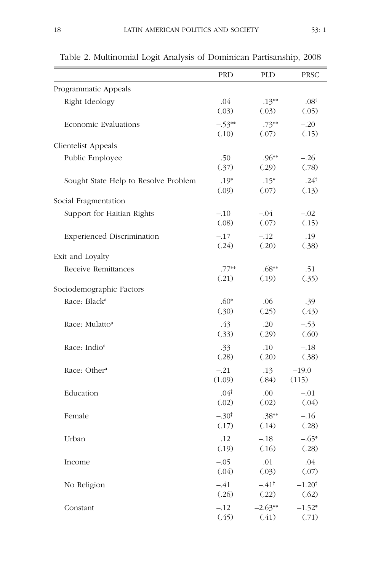|                                      | PRD              | PLD              | PRSC              |
|--------------------------------------|------------------|------------------|-------------------|
| Programmatic Appeals                 |                  |                  |                   |
| Right Ideology                       | .04              | $.13**$          | .08 <sup>†</sup>  |
|                                      | (.03)            | (.03)            | (.05)             |
| <b>Economic Evaluations</b>          | $-.53**$         | $.73**$          | $-.20$            |
|                                      | (.10)            | (.07)            | (.15)             |
| Clientelist Appeals                  |                  |                  |                   |
| Public Employee                      | .50              | $.96**$          | $-.26$            |
|                                      | (.37)            | (.29)            | (.78)             |
| Sought State Help to Resolve Problem | $.19*$           | $.15*$           | $.24^{\dagger}$   |
|                                      | (.09)            | (.07)            | (.13)             |
| Social Fragmentation                 |                  |                  |                   |
| Support for Haitian Rights           | $-.10$           | $-.04$           | $-.02$            |
|                                      | (.08)            | (.07)            | (.15)             |
| <b>Experienced Discrimination</b>    | $-.17$           | $-.12$           | .19               |
|                                      | (.24)            | (.20)            | (.38)             |
| Exit and Loyalty                     |                  |                  |                   |
| Receive Remittances                  | $.77**$          | $.68**$          | .51               |
|                                      | (.21)            | (.19)            | (.35)             |
| Sociodemographic Factors             |                  |                  |                   |
| Race: Black <sup>a</sup>             | $.60*$           | .06              | .39               |
|                                      | (.30)            | (.25)            | (.43)             |
| Race: Mulatto <sup>a</sup>           | .43              | .20              | $-.53$            |
|                                      | (.33)            | (.29)            | (.60)             |
| Race: Indio <sup>a</sup>             | .33              | .10              | $-.18$            |
|                                      | (.28)            | (.20)            | (.38)             |
| Race: Other <sup>a</sup>             | $-.21$           | .13              | $-19.0$           |
|                                      | (1.09)           | (.84)            | (115)             |
| Education                            | $.04^{\dagger}$  | .00              | $-.01$            |
|                                      | (.02)            | (.02)            | (.04)             |
| Female                               | $-.30^{\dagger}$ | $.38**$          | $-.16$            |
|                                      | (.17)            | (.14)            | (.28)             |
| Urban                                | .12              | $-.18$           | $-.65*$           |
|                                      | (.19)            | (.16)            | (.28)             |
| Income                               | $-.05$           | .01              | .04               |
|                                      | (.04)            | (.03)            | (.07)             |
| No Religion                          | $-.41$           | $-.41^{\dagger}$ | $-1.20^{\dagger}$ |
|                                      | (.26)            | (.22)            | (.62)             |
| Constant                             | $-.12$           | $-2.63**$        | $-1.52*$          |
|                                      | (.45)            | (.41)            | (.71)             |

Table 2. Multinomial Logit Analysis of Dominican Partisanship, 2008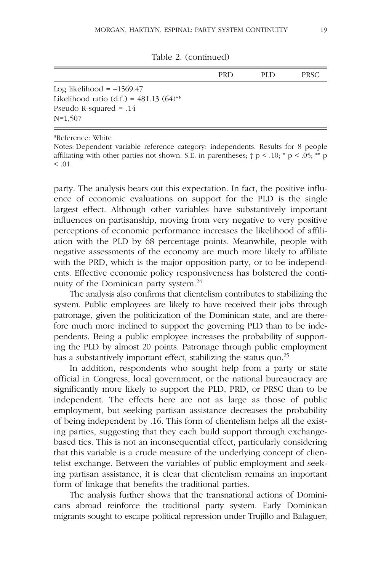|                                                       | <b>PRD</b> | PLD | PRSC. |
|-------------------------------------------------------|------------|-----|-------|
| Log likelihood = $-1569.47$                           |            |     |       |
| Likelihood ratio $(d.f.) = 481.13 (64)$ <sup>**</sup> |            |     |       |
| Pseudo R-squared = $.14$                              |            |     |       |
| $N=1,507$                                             |            |     |       |

Table 2. (continued)

aReference: White

Notes: Dependent variable reference category: independents. Results for 8 people affiliating with other parties not shown. S.E. in parentheses;  $\dagger$  p < .10; \* p < .05; \*\* p  $< 0.01$ .

party. The analysis bears out this expectation. In fact, the positive influence of economic evaluations on support for the PLD is the single largest effect. Although other variables have substantively important influences on partisanship, moving from very negative to very positive perceptions of economic performance increases the likelihood of affiliation with the PLD by 68 percentage points. Meanwhile, people with negative assessments of the economy are much more likely to affiliate with the PRD, which is the major opposition party, or to be independents. Effective economic policy responsiveness has bolstered the continuity of the Dominican party system.24

The analysis also confirms that clientelism contributes to stabilizing the system. Public employees are likely to have received their jobs through patronage, given the politicization of the Dominican state, and are therefore much more inclined to support the governing PLD than to be independents. Being a public employee increases the probability of supporting the PLD by almost 20 points. Patronage through public employment has a substantively important effect, stabilizing the status quo.<sup>25</sup>

In addition, respondents who sought help from a party or state official in Congress, local government, or the national bureaucracy are significantly more likely to support the PLD, PRD, or PRSC than to be independent. The effects here are not as large as those of public employment, but seeking partisan assistance decreases the probability of being independent by .16. This form of clientelism helps all the existing parties, suggesting that they each build support through exchangebased ties. This is not an inconsequential effect, particularly considering that this variable is a crude measure of the underlying concept of clientelist exchange. Between the variables of public employment and seeking partisan assistance, it is clear that clientelism remains an important form of linkage that benefits the traditional parties.

The analysis further shows that the transnational actions of Dominicans abroad reinforce the traditional party system. Early Dominican migrants sought to escape political repression under Trujillo and Balaguer;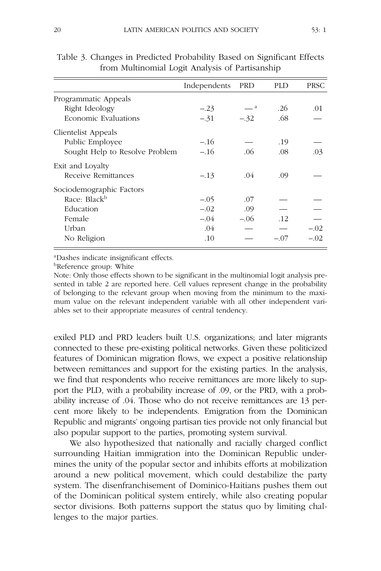|                                | Independents | <b>PRD</b>               | PLD    | <b>PRSC</b> |
|--------------------------------|--------------|--------------------------|--------|-------------|
| Programmatic Appeals           |              |                          |        |             |
| Right Ideology                 | $-.23$       | $\overline{\phantom{a}}$ | .26    | .01         |
| Economic Evaluations           | $-.31$       | $-.32$                   | .68    |             |
| Clientelist Appeals            |              |                          |        |             |
| Public Employee                | $-.16$       |                          | .19    |             |
| Sought Help to Resolve Problem | $-.16$       | .06                      | .08    | .03         |
| Exit and Loyalty               |              |                          |        |             |
| Receive Remittances            | $-.13$       | .04                      | .09    |             |
| Sociodemographic Factors       |              |                          |        |             |
| Race: Black <sup>b</sup>       | $-.05$       | .07                      |        |             |
| Education                      | $-.02$       | .09                      |        |             |
| Female                         | $-.04$       | $-.06$                   | .12    |             |
| Urban                          | .04          |                          |        | $-.02$      |
| No Religion                    | .10          |                          | $-.07$ | $-.02$      |

Table 3. Changes in Predicted Probability Based on Significant Effects from Multinomial Logit Analysis of Partisanship

aDashes indicate insignificant effects.

bReference group: White

Note: Only those effects shown to be significant in the multinomial logit analysis presented in table 2 are reported here. Cell values represent change in the probability of belonging to the relevant group when moving from the minimum to the maximum value on the relevant independent variable with all other independent variables set to their appropriate measures of central tendency.

exiled PLD and PRD leaders built U.S. organizations; and later migrants connected to these pre-existing political networks. Given these politicized features of Dominican migration flows, we expect a positive relationship between remittances and support for the existing parties. In the analysis, we find that respondents who receive remittances are more likely to support the PLD, with a probability increase of .09, or the PRD, with a probability increase of .04. Those who do not receive remittances are 13 percent more likely to be independents. Emigration from the Dominican Republic and migrants' ongoing partisan ties provide not only financial but also popular support to the parties, promoting system survival.

We also hypothesized that nationally and racially charged conflict surrounding Haitian immigration into the Dominican Republic undermines the unity of the popular sector and inhibits efforts at mobilization around a new political movement, which could destabilize the party system. The disenfranchisement of Dominico-Haitians pushes them out of the Dominican political system entirely, while also creating popular sector divisions. Both patterns support the status quo by limiting challenges to the major parties.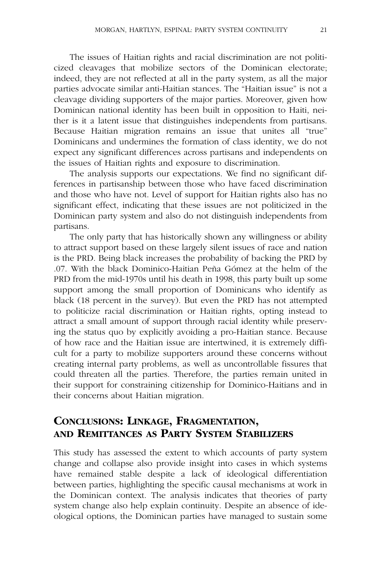The issues of Haitian rights and racial discrimination are not politicized cleavages that mobilize sectors of the Dominican electorate; indeed, they are not reflected at all in the party system, as all the major parties advocate similar anti-Haitian stances. The "Haitian issue" is not a cleavage dividing supporters of the major parties. Moreover, given how Dominican national identity has been built in opposition to Haiti, neither is it a latent issue that distinguishes independents from partisans. Because Haitian migration remains an issue that unites all "true" Dominicans and undermines the formation of class identity, we do not expect any significant differences across partisans and independents on the issues of Haitian rights and exposure to discrimination.

The analysis supports our expectations. We find no significant differences in partisanship between those who have faced discrimination and those who have not. Level of support for Haitian rights also has no significant effect, indicating that these issues are not politicized in the Dominican party system and also do not distinguish independents from partisans.

The only party that has historically shown any willingness or ability to attract support based on these largely silent issues of race and nation is the PRD. Being black increases the probability of backing the PRD by .07. With the black Dominico-Haitian Peña Gómez at the helm of the PRD from the mid-1970s until his death in 1998, this party built up some support among the small proportion of Dominicans who identify as black (18 percent in the survey). But even the PRD has not attempted to politicize racial discrimination or Haitian rights, opting instead to attract a small amount of support through racial identity while preserving the status quo by explicitly avoiding a pro-Haitian stance. Because of how race and the Haitian issue are intertwined, it is extremely difficult for a party to mobilize supporters around these concerns without creating internal party problems, as well as uncontrollable fissures that could threaten all the parties. Therefore, the parties remain united in their support for constraining citizenship for Dominico-Haitians and in their concerns about Haitian migration.

# **CONCLUSIONS: LINKAGE, FRAGMENTATION, AND REMITTANCES AS PARTY SYSTEM STABILIZERS**

This study has assessed the extent to which accounts of party system change and collapse also provide insight into cases in which systems have remained stable despite a lack of ideological differentiation between parties, highlighting the specific causal mechanisms at work in the Dominican context. The analysis indicates that theories of party system change also help explain continuity. Despite an absence of ideological options, the Dominican parties have managed to sustain some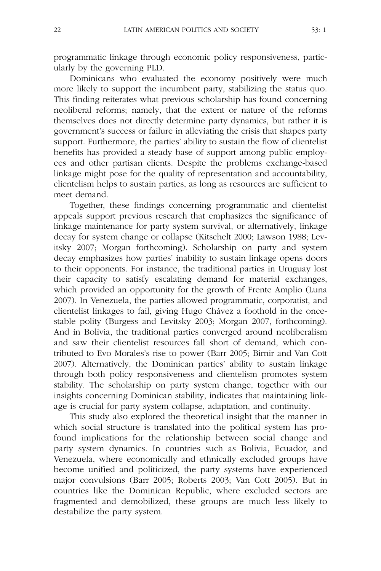programmatic linkage through economic policy responsiveness, particularly by the governing PLD.

Dominicans who evaluated the economy positively were much more likely to support the incumbent party, stabilizing the status quo. This finding reiterates what previous scholarship has found concerning neoliberal reforms; namely, that the extent or nature of the reforms themselves does not directly determine party dynamics, but rather it is government's success or failure in alleviating the crisis that shapes party support. Furthermore, the parties' ability to sustain the flow of clientelist benefits has provided a steady base of support among public employees and other partisan clients. Despite the problems exchange-based linkage might pose for the quality of representation and accountability, clientelism helps to sustain parties, as long as resources are sufficient to meet demand.

Together, these findings concerning programmatic and clientelist appeals support previous research that emphasizes the significance of linkage maintenance for party system survival, or alternatively, linkage decay for system change or collapse (Kitschelt 2000; Lawson 1988; Levitsky 2007; Morgan forthcoming). Scholarship on party and system decay emphasizes how parties' inability to sustain linkage opens doors to their opponents. For instance, the traditional parties in Uruguay lost their capacity to satisfy escalating demand for material exchanges, which provided an opportunity for the growth of Frente Amplio (Luna 2007). In Venezuela, the parties allowed programmatic, corporatist, and clientelist linkages to fail, giving Hugo Chávez a foothold in the oncestable polity (Burgess and Levitsky 2003; Morgan 2007, forthcoming). And in Bolivia, the traditional parties converged around neoliberalism and saw their clientelist resources fall short of demand, which contributed to Evo Morales's rise to power (Barr 2005; Birnir and Van Cott 2007). Alternatively, the Dominican parties' ability to sustain linkage through both policy responsiveness and clientelism promotes system stability. The scholarship on party system change, together with our insights concerning Dominican stability, indicates that maintaining linkage is crucial for party system collapse, adaptation, and continuity.

This study also explored the theoretical insight that the manner in which social structure is translated into the political system has profound implications for the relationship between social change and party system dynamics. In countries such as Bolivia, Ecuador, and Venezuela, where economically and ethnically excluded groups have become unified and politicized, the party systems have experienced major convulsions (Barr 2005; Roberts 2003; Van Cott 2005). But in countries like the Dominican Republic, where excluded sectors are fragmented and demobilized, these groups are much less likely to destabilize the party system.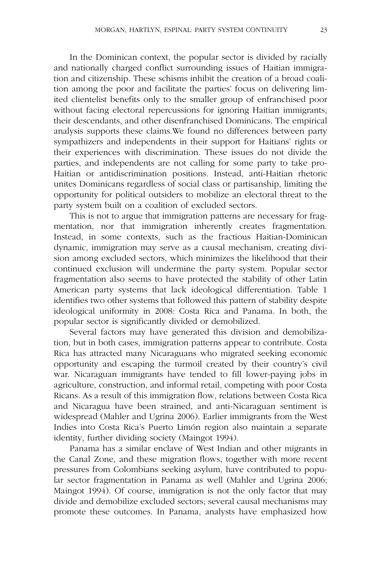In the Dominican context, the popular sector is divided by racially and nationally charged conflict surrounding issues of Haitian immigration and citizenship. These schisms inhibit the creation of a broad coalition among the poor and facilitate the parties' focus on delivering limited clientelist benefits only to the smaller group of enfranchised poor without facing electoral repercussions for ignoring Haitian immigrants, their descendants, and other disenfranchised Dominicans. The empirical analysis supports these claims.We found no differences between party sympathizers and independents in their support for Haitians' rights or their experiences with discrimination. These issues do not divide the parties, and independents are not calling for some party to take pro-Haitian or antidiscrimination positions. Instead, anti-Haitian rhetoric unites Dominicans regardless of social class or partisanship, limiting the opportunity for political outsiders to mobilize an electoral threat to the party system built on a coalition of excluded sectors.

This is not to argue that immigration patterns are necessary for fragmentation, nor that immigration inherently creates fragmentation. Instead, in some contexts, such as the fractious Haitian-Dominican dynamic, immigration may serve as a causal mechanism, creating division among excluded sectors, which minimizes the likelihood that their continued exclusion will undermine the party system. Popular sector fragmentation also seems to have protected the stability of other Latin American party systems that lack ideological differentiation. Table 1 identifies two other systems that followed this pattern of stability despite ideological uniformity in 2008: Costa Rica and Panama. In both, the popular sector is significantly divided or demobilized.

Several factors may have generated this division and demobilization, but in both cases, immigration patterns appear to contribute. Costa Rica has attracted many Nicaraguans who migrated seeking economic opportunity and escaping the turmoil created by their country's civil war. Nicaraguan immigrants have tended to fill lower-paying jobs in agriculture, construction, and informal retail, competing with poor Costa Ricans. As a result of this immigration flow, relations between Costa Rica and Nicaragua have been strained, and anti-Nicaraguan sentiment is widespread (Mahler and Ugrina 2006). Earlier immigrants from the West Indies into Costa Rica's Puerto Limón region also maintain a separate identity, further dividing society (Maingot 1994).

Panama has a similar enclave of West Indian and other migrants in the Canal Zone, and these migration flows, together with more recent pressures from Colombians seeking asylum, have contributed to popular sector fragmentation in Panama as well (Mahler and Ugrina 2006; Maingot 1994). Of course, immigration is not the only factor that may divide and demobilize excluded sectors; several causal mechanisms may promote these outcomes. In Panama, analysts have emphasized how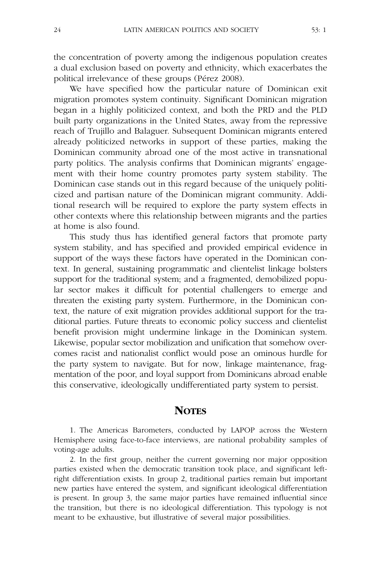the concentration of poverty among the indigenous population creates a dual exclusion based on poverty and ethnicity, which exacerbates the political irrelevance of these groups (Pérez 2008).

We have specified how the particular nature of Dominican exit migration promotes system continuity. Significant Dominican migration began in a highly politicized context, and both the PRD and the PLD built party organizations in the United States, away from the repressive reach of Trujillo and Balaguer. Subsequent Dominican migrants entered already politicized networks in support of these parties, making the Dominican community abroad one of the most active in transnational party politics. The analysis confirms that Dominican migrants' engagement with their home country promotes party system stability. The Dominican case stands out in this regard because of the uniquely politicized and partisan nature of the Dominican migrant community. Additional research will be required to explore the party system effects in other contexts where this relationship between migrants and the parties at home is also found.

This study thus has identified general factors that promote party system stability, and has specified and provided empirical evidence in support of the ways these factors have operated in the Dominican context. In general, sustaining programmatic and clientelist linkage bolsters support for the traditional system; and a fragmented, demobilized popular sector makes it difficult for potential challengers to emerge and threaten the existing party system. Furthermore, in the Dominican context, the nature of exit migration provides additional support for the traditional parties. Future threats to economic policy success and clientelist benefit provision might undermine linkage in the Dominican system. Likewise, popular sector mobilization and unification that somehow overcomes racist and nationalist conflict would pose an ominous hurdle for the party system to navigate. But for now, linkage maintenance, fragmentation of the poor, and loyal support from Dominicans abroad enable this conservative, ideologically undifferentiated party system to persist.

### **NOTES**

1. The Americas Barometers, conducted by LAPOP across the Western Hemisphere using face-to-face interviews, are national probability samples of voting-age adults.

2. In the first group, neither the current governing nor major opposition parties existed when the democratic transition took place, and significant leftright differentiation exists. In group 2, traditional parties remain but important new parties have entered the system, and significant ideological differentiation is present. In group 3, the same major parties have remained influential since the transition, but there is no ideological differentiation. This typology is not meant to be exhaustive, but illustrative of several major possibilities.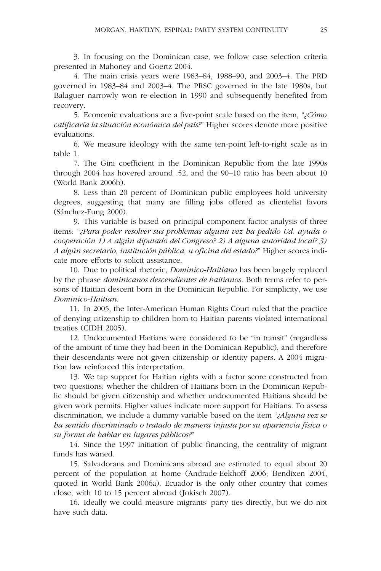3. In focusing on the Dominican case, we follow case selection criteria presented in Mahoney and Goertz 2004.

4. The main crisis years were 1983–84, 1988–90, and 2003–4. The PRD governed in 1983–84 and 2003–4. The PRSC governed in the late 1980s, but Balaguer narrowly won re-election in 1990 and subsequently benefited from recovery.

5. Economic evaluations are a five-point scale based on the item, "*¿Cómo calificaría la situación económica del país?*" Higher scores denote more positive evaluations.

6. We measure ideology with the same ten-point left-to-right scale as in table 1.

7. The Gini coefficient in the Dominican Republic from the late 1990s through 2004 has hovered around .52, and the 90–10 ratio has been about 10 (World Bank 2006b).

8. Less than 20 percent of Dominican public employees hold university degrees, suggesting that many are filling jobs offered as clientelist favors (Sánchez-Fung 2000).

9. This variable is based on principal component factor analysis of three items: "*¿Para poder resolver sus problemas alguna vez ha pedido Ud. ayuda o cooperación 1) A algún diputado del Congreso? 2) A alguna autoridad local? 3) A algún secretario, institución pública, u oficina del estado?*" Higher scores indicate more efforts to solicit assistance.

10. Due to political rhetoric, *Dominico-Haitiano* has been largely replaced by the phrase *dominicanos descendientes de haitianos*. Both terms refer to persons of Haitian descent born in the Dominican Republic. For simplicity, we use *Dominico-Haitian*.

11. In 2005, the Inter-American Human Rights Court ruled that the practice of denying citizenship to children born to Haitian parents violated international treaties (CIDH 2005).

12. Undocumented Haitians were considered to be "in transit" (regardless of the amount of time they had been in the Dominican Republic), and therefore their descendants were not given citizenship or identity papers. A 2004 migration law reinforced this interpretation.

13. We tap support for Haitian rights with a factor score constructed from two questions: whether the children of Haitians born in the Dominican Republic should be given citizenship and whether undocumented Haitians should be given work permits. Higher values indicate more support for Haitians. To assess discrimination, we include a dummy variable based on the item "*¿Alguna vez se ha sentido discriminado o tratado de manera injusta por su apariencia física o su forma de hablar en lugares públicos?*"

14. Since the 1997 initiation of public financing, the centrality of migrant funds has waned.

15. Salvadorans and Dominicans abroad are estimated to equal about 20 percent of the population at home (Andrade-Eekhoff 2006; Bendixen 2004, quoted in World Bank 2006a). Ecuador is the only other country that comes close, with 10 to 15 percent abroad (Jokisch 2007).

16. Ideally we could measure migrants' party ties directly, but we do not have such data.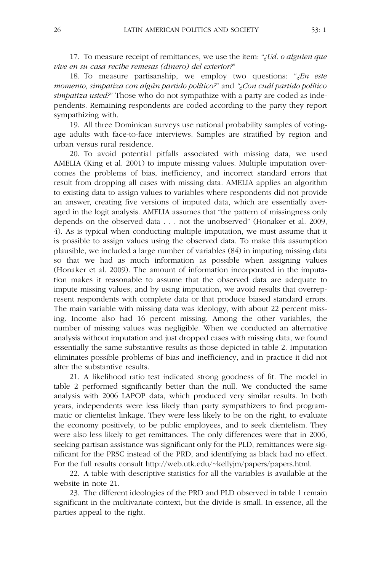17. To measure receipt of remittances, we use the item: "*¿Ud. o alguien que vive en su casa recibe remesas (dinero) del exterior?*"

18. To measure partisanship, we employ two questions: "*¿En este momento, simpatiza con algún partido político?*" and *"¿Con cuál partido político simpatiza usted?*" Those who do not sympathize with a party are coded as independents. Remaining respondents are coded according to the party they report sympathizing with.

19. All three Dominican surveys use national probability samples of votingage adults with face-to-face interviews. Samples are stratified by region and urban versus rural residence.

20. To avoid potential pitfalls associated with missing data, we used AMELIA (King et al. 2001) to impute missing values. Multiple imputation overcomes the problems of bias, inefficiency, and incorrect standard errors that result from dropping all cases with missing data. AMELIA applies an algorithm to existing data to assign values to variables where respondents did not provide an answer, creating five versions of imputed data, which are essentially averaged in the logit analysis. AMELIA assumes that "the pattern of missingness only depends on the observed data . . . not the unobserved" (Honaker et al. 2009, 4). As is typical when conducting multiple imputation, we must assume that it is possible to assign values using the observed data. To make this assumption plausible, we included a large number of variables (84) in imputing missing data so that we had as much information as possible when assigning values (Honaker et al. 2009). The amount of information incorporated in the imputation makes it reasonable to assume that the observed data are adequate to impute missing values; and by using imputation, we avoid results that overrepresent respondents with complete data or that produce biased standard errors. The main variable with missing data was ideology, with about 22 percent missing. Income also had 16 percent missing. Among the other variables, the number of missing values was negligible. When we conducted an alternative analysis without imputation and just dropped cases with missing data, we found essentially the same substantive results as those depicted in table 2. Imputation eliminates possible problems of bias and inefficiency, and in practice it did not alter the substantive results.

21. A likelihood ratio test indicated strong goodness of fit. The model in table 2 performed significantly better than the null. We conducted the same analysis with 2006 LAPOP data, which produced very similar results. In both years, independents were less likely than party sympathizers to find programmatic or clientelist linkage. They were less likely to be on the right, to evaluate the economy positively, to be public employees, and to seek clientelism. They were also less likely to get remittances. The only differences were that in 2006, seeking partisan assistance was significant only for the PLD, remittances were significant for the PRSC instead of the PRD, and identifying as black had no effect. For the full results consult http://web.utk.edu/~kellyjm/papers/papers.html.

22. A table with descriptive statistics for all the variables is available at the website in note 21.

23. The different ideologies of the PRD and PLD observed in table 1 remain significant in the multivariate context, but the divide is small. In essence, all the parties appeal to the right.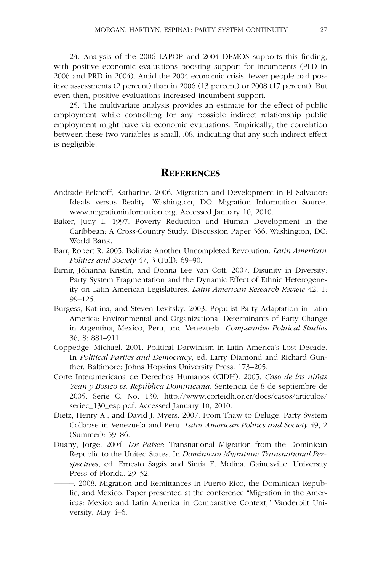24. Analysis of the 2006 LAPOP and 2004 DEMOS supports this finding, with positive economic evaluations boosting support for incumbents (PLD in 2006 and PRD in 2004). Amid the 2004 economic crisis, fewer people had positive assessments (2 percent) than in 2006 (13 percent) or 2008 (17 percent). But even then, positive evaluations increased incumbent support.

25. The multivariate analysis provides an estimate for the effect of public employment while controlling for any possible indirect relationship public employment might have via economic evaluations. Empirically, the correlation between these two variables is small, .08, indicating that any such indirect effect is negligible.

# **REFERENCES**

- Andrade-Eekhoff, Katharine. 2006. Migration and Development in El Salvador: Ideals versus Reality. Washington, DC: Migration Information Source. www.migrationinformation.org. Accessed January 10, 2010.
- Baker, Judy L. 1997. Poverty Reduction and Human Development in the Caribbean: A Cross-Country Study. Discussion Paper 366. Washington, DC: World Bank.
- Barr, Robert R. 2005. Bolivia: Another Uncompleted Revolution. *Latin American Politics and Society* 47, 3 (Fall): 69–90.
- Birnir, Jóhanna Kristín, and Donna Lee Van Cott. 2007. Disunity in Diversity: Party System Fragmentation and the Dynamic Effect of Ethnic Heterogeneity on Latin American Legislatures. *Latin American Research Review* 42, 1: 99–125.
- Burgess, Katrina, and Steven Levitsky. 2003. Populist Party Adaptation in Latin America: Environmental and Organizational Determinants of Party Change in Argentina, Mexico, Peru, and Venezuela. *Comparative Political Studies* 36, 8: 881–911.
- Coppedge, Michael. 2001. Political Darwinism in Latin America's Lost Decade. In *Political Parties and Democracy*, ed. Larry Diamond and Richard Gunther. Baltimore: Johns Hopkins University Press. 173–205.
- Corte Interamericana de Derechos Humanos (CIDH). 2005. *Caso de las niñas Yean y Bosico vs. República Dominicana*. Sentencia de 8 de septiembre de 2005. Serie C. No. 130. http://www.corteidh.or.cr/docs/casos/articulos/ seriec\_130\_esp.pdf. Accessed January 10, 2010.
- Dietz, Henry A., and David J. Myers. 2007. From Thaw to Deluge: Party System Collapse in Venezuela and Peru. *Latin American Politics and Society* 49, 2 (Summer): 59–86.
- Duany, Jorge. 2004. *Los Países*: Transnational Migration from the Dominican Republic to the United States. In *Dominican Migration: Transnational Perspectives*, ed. Ernesto Sagás and Sintia E. Molina. Gainesville: University Press of Florida. 29–52.
	- –––––. 2008. Migration and Remittances in Puerto Rico, the Dominican Republic, and Mexico. Paper presented at the conference "Migration in the Americas: Mexico and Latin America in Comparative Context," Vanderbilt University, May 4–6.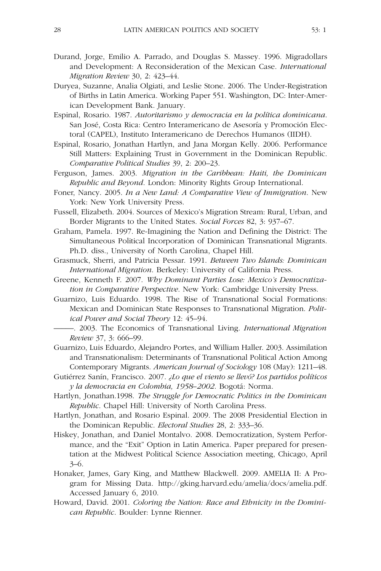- Durand, Jorge, Emilio A. Parrado, and Douglas S. Massey. 1996. Migradollars and Development: A Reconsideration of the Mexican Case. *International Migration Review* 30, 2: 423–44.
- Duryea, Suzanne, Analia Olgiati, and Leslie Stone. 2006. The Under-Registration of Births in Latin America. Working Paper 551. Washington, DC: Inter-American Development Bank. January.
- Espinal, Rosario. 1987. *Autoritarismo y democracia en la política dominicana*. San José, Costa Rica: Centro Interamericano de Asesoría y Promoción Electoral (CAPEL), Instituto Interamericano de Derechos Humanos (IIDH).
- Espinal, Rosario, Jonathan Hartlyn, and Jana Morgan Kelly. 2006. Performance Still Matters: Explaining Trust in Government in the Dominican Republic. *Comparative Political Studies* 39, 2: 200–23.
- Ferguson, James. 2003. *Migration in the Caribbean: Haiti, the Dominican Republic and Beyond*. London: Minority Rights Group International.
- Foner, Nancy. 2005. *In a New Land: A Comparative View of Immigration*. New York: New York University Press.
- Fussell, Elizabeth. 2004. Sources of Mexico's Migration Stream: Rural, Urban, and Border Migrants to the United States. *Social Forces* 82, 3: 937–67.
- Graham, Pamela. 1997. Re-Imagining the Nation and Defining the District: The Simultaneous Political Incorporation of Dominican Transnational Migrants. Ph.D. diss., University of North Carolina, Chapel Hill.
- Grasmuck, Sherri, and Patricia Pessar. 1991. *Between Two Islands: Dominican International Migration*. Berkeley: University of California Press.
- Greene, Kenneth F. 2007. *Why Dominant Parties Lose: Mexico's Democratization in Comparative Perspective*. New York: Cambridge University Press.
- Guarnizo, Luis Eduardo. 1998. The Rise of Transnational Social Formations: Mexican and Dominican State Responses to Transnational Migration. *Political Power and Social Theory* 12: 45–94.
	- –––––. 2003. The Economics of Transnational Living. *International Migration Review* 37, 3: 666–99.
- Guarnizo, Luis Eduardo, Alejandro Portes, and William Haller. 2003. Assimilation and Transnationalism: Determinants of Transnational Political Action Among Contemporary Migrants. *American Journal of Sociology* 108 (May): 1211–48.
- Gutiérrez Sanín, Francisco. 2007. *¿Lo que el viento se llevó? Los partidos políticos y la democracia en Colombia, 1958–2002*. Bogotá: Norma.
- Hartlyn, Jonathan.1998. *The Struggle for Democratic Politics in the Dominican Republic*. Chapel Hill: University of North Carolina Press.
- Hartlyn, Jonathan, and Rosario Espinal. 2009. The 2008 Presidential Election in the Dominican Republic. *Electoral Studies* 28, 2: 333–36.
- Hiskey, Jonathan, and Daniel Montalvo. 2008. Democratization, System Performance, and the "Exit" Option in Latin America. Paper prepared for presentation at the Midwest Political Science Association meeting, Chicago, April 3–6.
- Honaker, James, Gary King, and Matthew Blackwell. 2009. AMELIA II: A Program for Missing Data. http://gking.harvard.edu/amelia/docs/amelia.pdf. Accessed January 6, 2010.
- Howard, David. 2001. *Coloring the Nation: Race and Ethnicity in the Dominican Republic*. Boulder: Lynne Rienner.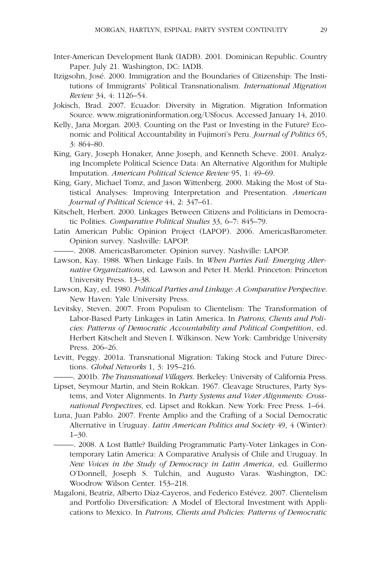- Inter-American Development Bank (IADB). 2001. Dominican Republic. Country Paper. July 21. Washington, DC: IADB.
- Itzigsohn, José. 2000. Immigration and the Boundaries of Citizenship: The Institutions of Immigrants' Political Transnationalism. *International Migration Review* 34, 4: 1126–54.
- Jokisch, Brad. 2007. Ecuador: Diversity in Migration. Migration Information Source. www.migrationinformation.org/USfocus. Accessed January 14, 2010.
- Kelly, Jana Morgan. 2003. Counting on the Past or Investing in the Future? Economic and Political Accountability in Fujimori's Peru. *Journal of Politics* 65, 3: 864–80.
- King, Gary, Joseph Honaker, Anne Joseph, and Kenneth Scheve. 2001. Analyzing Incomplete Political Science Data: An Alternative Algorithm for Multiple Imputation. *American Political Science Review* 95, 1: 49–69.
- King, Gary, Michael Tomz, and Jason Wittenberg. 2000. Making the Most of Statistical Analyses: Improving Interpretation and Presentation. *American Journal of Political Science* 44, 2: 347–61.
- Kitschelt, Herbert. 2000. Linkages Between Citizens and Politicians in Democratic Polities. *Comparative Political Studies* 33, 6–7: 845–79.
- Latin American Public Opinion Project (LAPOP). 2006. AmericasBarometer. Opinion survey. Nashville: LAPOP.
	- –––––. 2008. AmericasBarometer. Opinion survey. Nashville: LAPOP.
- Lawson, Kay. 1988. When Linkage Fails. In *When Parties Fail: Emerging Alternative Organizations*, ed. Lawson and Peter H. Merkl. Princeton: Princeton University Press. 13–38.
- Lawson, Kay, ed. 1980. *Political Parties and Linkage: A Comparative Perspective*. New Haven: Yale University Press.
- Levitsky, Steven. 2007. From Populism to Clientelism: The Transformation of Labor-Based Party Linkages in Latin America. In *Patrons, Clients and Policies: Patterns of Democratic Accountability and Political Competition*, ed. Herbert Kitschelt and Steven I. Wilkinson. New York: Cambridge University Press. 206–26.
- Levitt, Peggy. 2001a. Transnational Migration: Taking Stock and Future Directions. *Global Networks* 1, 3: 195–216.
- –––––. 2001b. *The Transnational Villagers*. Berkeley: University of California Press. Lipset, Seymour Martin, and Stein Rokkan. 1967. Cleavage Structures, Party Sys-
- tems, and Voter Alignments. In *Party Systems and Voter Alignments: Crossnational Perspectives*, ed. Lipset and Rokkan*.* New York: Free Press. 1–64.
- Luna, Juan Pablo. 2007. Frente Amplio and the Crafting of a Social Democratic Alternative in Uruguay. *Latin American Politics and Society* 49, 4 (Winter): 1–30.
	- –––––. 2008. A Lost Battle? Building Programmatic Party-Voter Linkages in Contemporary Latin America: A Comparative Analysis of Chile and Uruguay. In *New Voices in the Study of Democracy in Latin America*, ed. Guillermo O'Donnell, Joseph S. Tulchin, and Augusto Varas. Washington, DC: Woodrow Wilson Center. 153–218.
- Magaloni, Beatriz, Alberto Díaz-Cayeros, and Federico Estévez. 2007. Clientelism and Portfolio Diversification: A Model of Electoral Investment with Applications to Mexico. In *Patrons, Clients and Policies: Patterns of Democratic*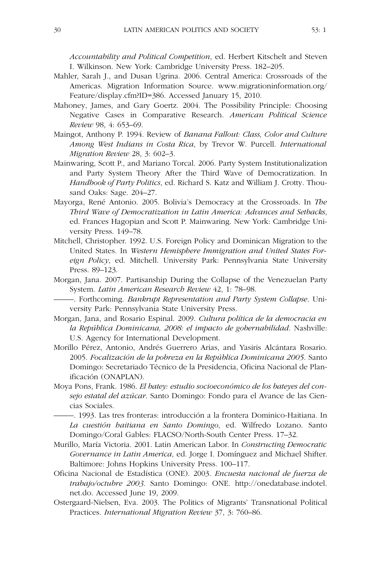*Accountability and Political Competition*, ed. Herbert Kitschelt and Steven I. Wilkinson. New York: Cambridge University Press. 182–205.

- Mahler, Sarah J., and Dusan Ugrina. 2006. Central America: Crossroads of the Americas. Migration Information Source. www.migrationinformation.org/ Feature/display.cfm?ID=386. Accessed January 15, 2010.
- Mahoney, James, and Gary Goertz. 2004. The Possibility Principle: Choosing Negative Cases in Comparative Research. *American Political Science Review* 98, 4: 653–69.
- Maingot, Anthony P. 1994. Review of *Banana Fallout: Class, Color and Culture Among West Indians in Costa Rica*, by Trevor W. Purcell. *International Migration Review* 28, 3: 602–3.
- Mainwaring, Scott P., and Mariano Torcal. 2006. Party System Institutionalization and Party System Theory After the Third Wave of Democratization. In *Handbook of Party Politics*, ed. Richard S. Katz and William J. Crotty. Thousand Oaks: Sage. 204–27.
- Mayorga, René Antonio. 2005. Bolivia's Democracy at the Crossroads. In *The Third Wave of Democratization in Latin America: Advances and Setbacks*, ed. Frances Hagopian and Scott P. Mainwaring. New York: Cambridge University Press. 149–78.
- Mitchell, Christopher. 1992. U.S. Foreign Policy and Dominican Migration to the United States. In *Western Hemisphere Immigration and United States Foreign Policy*, ed. Mitchell. University Park: Pennsylvania State University Press. 89–123.
- Morgan, Jana. 2007. Partisanship During the Collapse of the Venezuelan Party System. *Latin American Research Review* 42, 1: 78–98.
- –––––. Forthcoming. *Bankrupt Representation and Party System Collapse*. University Park: Pennsylvania State University Press.
- Morgan, Jana, and Rosario Espinal. 2009. *Cultura política de la democracia en la República Dominicana, 2008: el impacto de gobernabilidad*. Nashville: U.S. Agency for International Development.
- Morillo Pérez, Antonio, Andrés Guerrero Arias, and Yasiris Alcántara Rosario. 2005. *Focalización de la pobreza en la República Dominicana 2005*. Santo Domingo: Secretariado Técnico de la Presidencia, Oficina Nacional de Planificación (ONAPLAN).
- Moya Pons, Frank. 1986. *El batey: estudio socioeconómico de los bateyes del consejo estatal del azúcar*. Santo Domingo: Fondo para el Avance de las Ciencias Sociales.
	- –––––. 1993. Las tres fronteras: introducción a la frontera Dominico-Haitiana. In *La cuestión haitiana en Santo Domingo*, ed. Wilfredo Lozano. Santo Domingo/Coral Gables: FLACSO/North-South Center Press. 17–32.
- Murillo, María Victoria. 2001. Latin American Labor. In *Constructing Democratic Governance in Latin America*, ed. Jorge I. Domínguez and Michael Shifter. Baltimore: Johns Hopkins University Press. 100–117.
- Oficina Nacional de Estadística (ONE). 2003. *Encuesta nacional de fuerza de trabajo/octubre 2003*. Santo Domingo: ONE. http://onedatabase.indotel. net.do. Accessed June 19, 2009.
- Ostergaard-Nielsen, Eva. 2003. The Politics of Migrants' Transnational Political Practices. *International Migration Review* 37, 3: 760–86.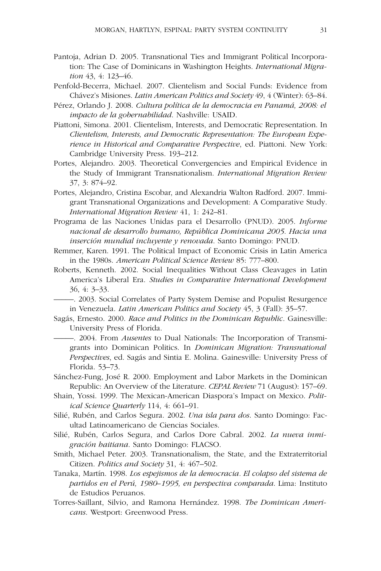- Pantoja, Adrian D. 2005. Transnational Ties and Immigrant Political Incorporation: The Case of Dominicans in Washington Heights. *International Migration* 43, 4: 123–46.
- Penfold-Becerra, Michael. 2007. Clientelism and Social Funds: Evidence from Chávez's Misiones. *Latin American Politics and Society* 49, 4 (Winter): 63–84.
- Pérez, Orlando J. 2008. *Cultura política de la democracia en Panamá, 2008: el impacto de la gobernabilidad*. Nashville: USAID.
- Piattoni, Simona. 2001. Clientelism, Interests, and Democratic Representation. In *Clientelism, Interests, and Democratic Representation: The European Experience in Historical and Comparative Perspective*, ed. Piattoni. New York: Cambridge University Press. 193–212.
- Portes, Alejandro. 2003. Theoretical Convergencies and Empirical Evidence in the Study of Immigrant Transnationalism. *International Migration Review* 37, 3: 874–92.
- Portes, Alejandro, Cristina Escobar, and Alexandria Walton Radford. 2007. Immigrant Transnational Organizations and Development: A Comparative Study. *International Migration Review* 41, 1: 242–81.
- Programa de las Naciones Unidas para el Desarrollo (PNUD). 2005. *Informe nacional de desarrollo humano, República Dominicana 2005. Hacia una inserción mundial incluyente y renovada*. Santo Domingo: PNUD.
- Remmer, Karen. 1991. The Political Impact of Economic Crisis in Latin America in the 1980s. *American Political Science Review* 85: 777–800.
- Roberts, Kenneth. 2002. Social Inequalities Without Class Cleavages in Latin America's Liberal Era. *Studies in Comparative International Development* 36, 4: 3–33.
	- –––––. 2003. Social Correlates of Party System Demise and Populist Resurgence in Venezuela. *Latin American Politics and Society* 45, 3 (Fall): 35–57.
- Sagás, Ernesto. 2000. *Race and Politics in the Dominican Republic*. Gainesville: University Press of Florida.
- –––––. 2004. From *Ausentes* to Dual Nationals: The Incorporation of Transmigrants into Dominican Politics. In *Dominican Migration: Transnational Perspectives*, ed. Sagás and Sintia E. Molina. Gainesville: University Press of Florida. 53–73.
- Sánchez-Fung, José R. 2000. Employment and Labor Markets in the Dominican Republic: An Overview of the Literature. *CEPAL Review* 71 (August): 157–69.
- Shain, Yossi. 1999. The Mexican-American Diaspora's Impact on Mexico. *Political Science Quarterly* 114, 4: 661–91.
- Silié, Rubén, and Carlos Segura. 2002. *Una isla para dos*. Santo Domingo: Facultad Latinoamericano de Ciencias Sociales.
- Silié, Rubén, Carlos Segura, and Carlos Dore Cabral. 2002. *La nueva inmigración haitiana*. Santo Domingo: FLACSO.
- Smith, Michael Peter. 2003. Transnationalism, the State, and the Extraterritorial Citizen. *Politics and Society* 31, 4: 467–502.
- Tanaka, Martín. 1998. *Los espejismos de la democracia. El colapso del sistema de partidos en el Perú, 1980–1995, en perspectiva comparada*. Lima: Instituto de Estudios Peruanos.
- Torres-Saillant, Silvio, and Ramona Hernández. 1998. *The Dominican Americans*. Westport: Greenwood Press.